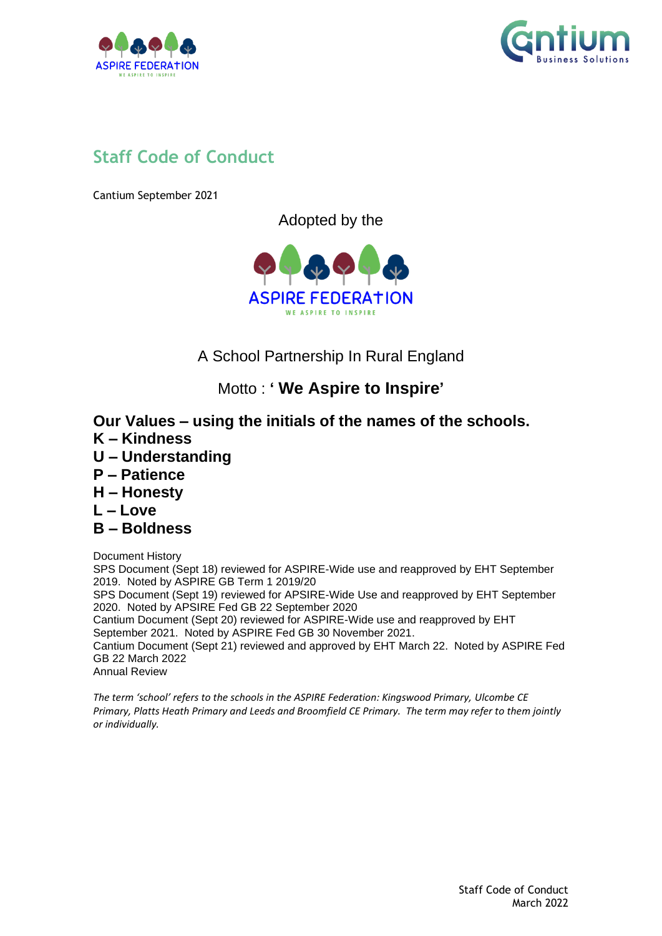



# **Staff Code of Conduct**

Cantium September 2021

Adopted by the



A School Partnership In Rural England

Motto : **' We Aspire to Inspire'**

# **Our Values – using the initials of the names of the schools.**

- **K – Kindness**
- **U – Understanding**
- **P – Patience**
- **H – Honesty**
- **L – Love**
- **B – Boldness**

Document History

SPS Document (Sept 18) reviewed for ASPIRE-Wide use and reapproved by EHT September 2019. Noted by ASPIRE GB Term 1 2019/20

SPS Document (Sept 19) reviewed for APSIRE-Wide Use and reapproved by EHT September 2020. Noted by APSIRE Fed GB 22 September 2020

Cantium Document (Sept 20) reviewed for ASPIRE-Wide use and reapproved by EHT September 2021. Noted by ASPIRE Fed GB 30 November 2021.

Cantium Document (Sept 21) reviewed and approved by EHT March 22. Noted by ASPIRE Fed GB 22 March 2022

Annual Review

*The term 'school' refers to the schools in the ASPIRE Federation: Kingswood Primary, Ulcombe CE Primary, Platts Heath Primary and Leeds and Broomfield CE Primary. The term may refer to them jointly or individually.*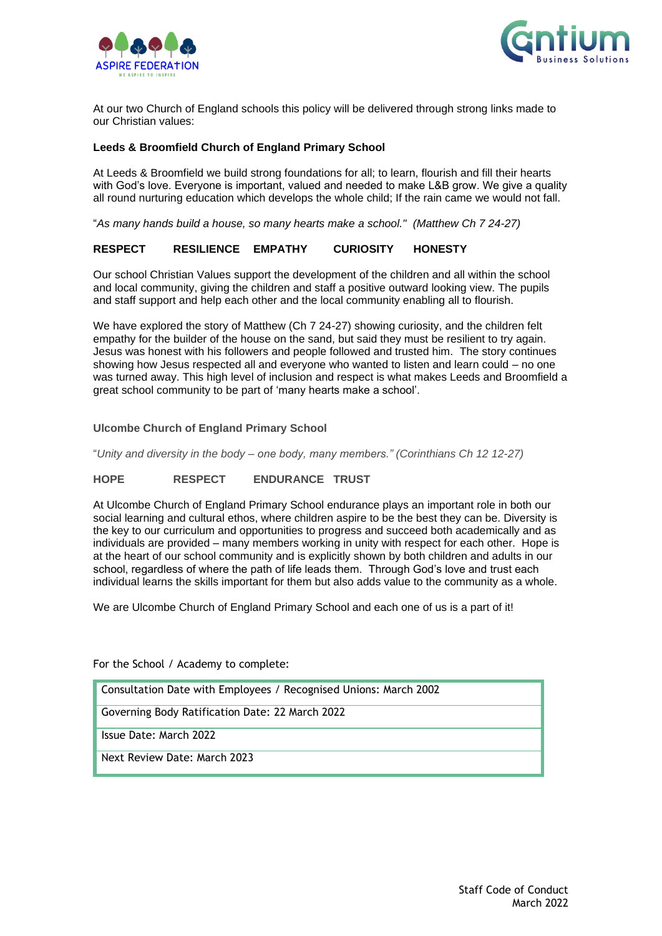



At our two Church of England schools this policy will be delivered through strong links made to our Christian values:

#### **Leeds & Broomfield Church of England Primary School**

At Leeds & Broomfield we build strong foundations for all; to learn, flourish and fill their hearts with God's love. Everyone is important, valued and needed to make L&B grow. We give a quality all round nurturing education which develops the whole child; If the rain came we would not fall.

"*As many hands build a house, so many hearts make a school." (Matthew Ch 7 24-27)*

#### **RESPECT RESILIENCE EMPATHY CURIOSITY HONESTY**

Our school Christian Values support the development of the children and all within the school and local community, giving the children and staff a positive outward looking view. The pupils and staff support and help each other and the local community enabling all to flourish.

We have explored the story of Matthew (Ch 7 24-27) showing curiosity, and the children felt empathy for the builder of the house on the sand, but said they must be resilient to try again. Jesus was honest with his followers and people followed and trusted him. The story continues showing how Jesus respected all and everyone who wanted to listen and learn could – no one was turned away. This high level of inclusion and respect is what makes Leeds and Broomfield a great school community to be part of 'many hearts make a school'.

#### **Ulcombe Church of England Primary School**

"*Unity and diversity in the body – one body, many members." (Corinthians Ch 12 12-27)*

#### **HOPE RESPECT ENDURANCE TRUST**

At Ulcombe Church of England Primary School endurance plays an important role in both our social learning and cultural ethos, where children aspire to be the best they can be. Diversity is the key to our curriculum and opportunities to progress and succeed both academically and as individuals are provided – many members working in unity with respect for each other. Hope is at the heart of our school community and is explicitly shown by both children and adults in our school, regardless of where the path of life leads them. Through God's love and trust each individual learns the skills important for them but also adds value to the community as a whole.

We are Ulcombe Church of England Primary School and each one of us is a part of it!

For the School / Academy to complete:

Consultation Date with Employees / Recognised Unions: March 2002

Governing Body Ratification Date: 22 March 2022

Issue Date: March 2022

Next Review Date: March 2023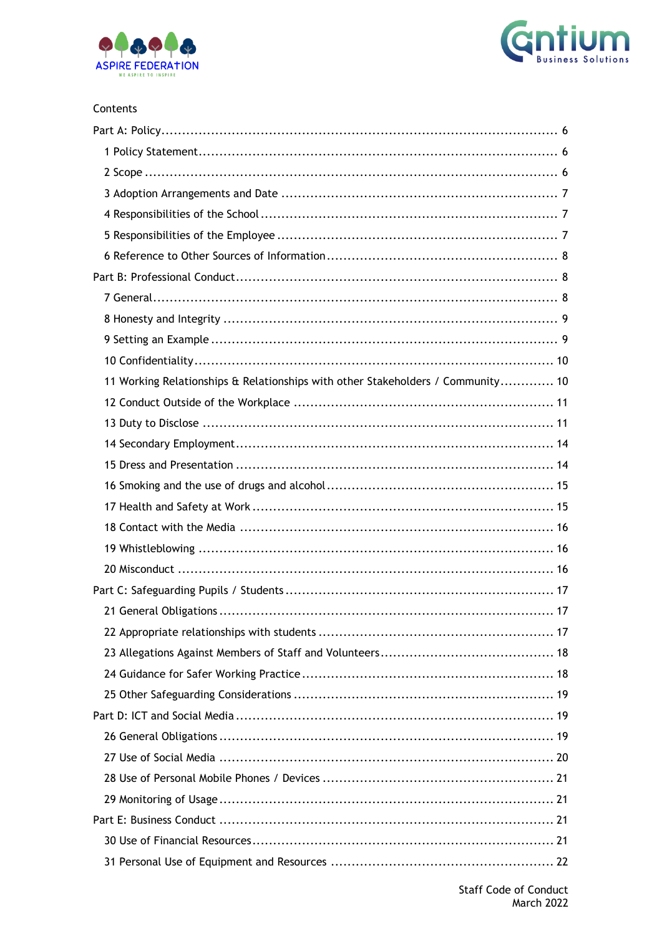



#### Contents

| 11 Working Relationships & Relationships with other Stakeholders / Community 10 |
|---------------------------------------------------------------------------------|
|                                                                                 |
|                                                                                 |
|                                                                                 |
|                                                                                 |
|                                                                                 |
|                                                                                 |
|                                                                                 |
|                                                                                 |
|                                                                                 |
|                                                                                 |
|                                                                                 |
|                                                                                 |
|                                                                                 |
|                                                                                 |
|                                                                                 |
|                                                                                 |
|                                                                                 |
|                                                                                 |
|                                                                                 |
|                                                                                 |
|                                                                                 |
|                                                                                 |
|                                                                                 |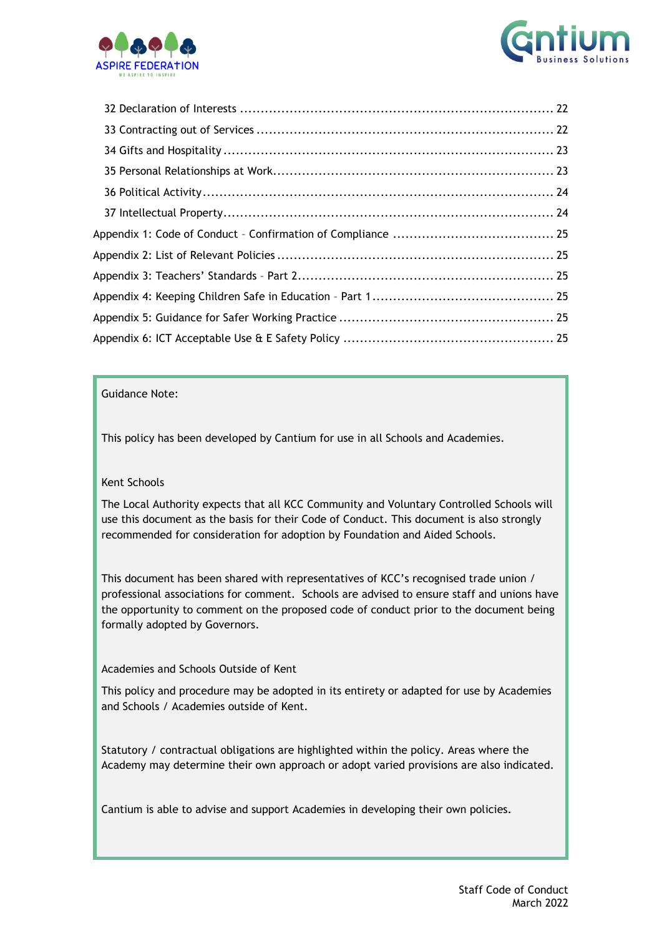



#### Guidance Note:

This policy has been developed by Cantium for use in all Schools and Academies.

#### Kent Schools

The Local Authority expects that all KCC Community and Voluntary Controlled Schools will use this document as the basis for their Code of Conduct. This document is also strongly recommended for consideration for adoption by Foundation and Aided Schools.

This document has been shared with representatives of KCC's recognised trade union / professional associations for comment. Schools are advised to ensure staff and unions have the opportunity to comment on the proposed code of conduct prior to the document being formally adopted by Governors.

#### Academies and Schools Outside of Kent

This policy and procedure may be adopted in its entirety or adapted for use by Academies and Schools / Academies outside of Kent.

Statutory / contractual obligations are highlighted within the policy. Areas where the Academy may determine their own approach or adopt varied provisions are also indicated.

Cantium is able to advise and support Academies in developing their own policies.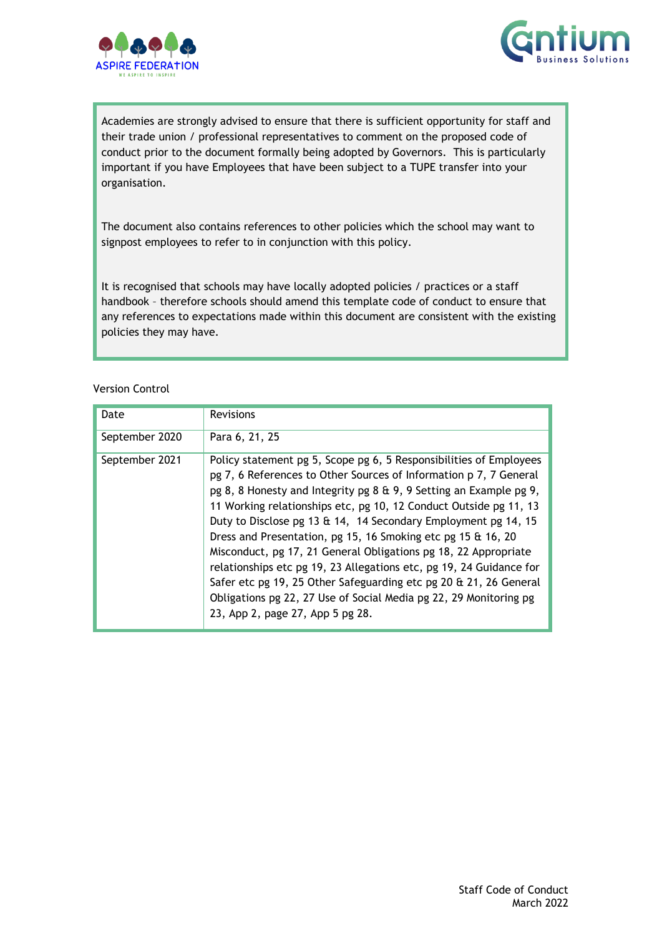



Academies are strongly advised to ensure that there is sufficient opportunity for staff and their trade union / professional representatives to comment on the proposed code of conduct prior to the document formally being adopted by Governors. This is particularly important if you have Employees that have been subject to a TUPE transfer into your organisation.

The document also contains references to other policies which the school may want to signpost employees to refer to in conjunction with this policy.

It is recognised that schools may have locally adopted policies / practices or a staff handbook – therefore schools should amend this template code of conduct to ensure that any references to expectations made within this document are consistent with the existing policies they may have.

#### Version Control

<span id="page-4-0"></span>

| Date           | <b>Revisions</b>                                                                                                                                                                                                                                                                                                                                                                                                                                                                                                                                                                                                                                                                                                                             |
|----------------|----------------------------------------------------------------------------------------------------------------------------------------------------------------------------------------------------------------------------------------------------------------------------------------------------------------------------------------------------------------------------------------------------------------------------------------------------------------------------------------------------------------------------------------------------------------------------------------------------------------------------------------------------------------------------------------------------------------------------------------------|
| September 2020 | Para 6, 21, 25                                                                                                                                                                                                                                                                                                                                                                                                                                                                                                                                                                                                                                                                                                                               |
| September 2021 | Policy statement pg 5, Scope pg 6, 5 Responsibilities of Employees<br>pg 7, 6 References to Other Sources of Information p 7, 7 General<br>pg 8, 8 Honesty and Integrity pg 8 & 9, 9 Setting an Example pg 9,<br>11 Working relationships etc, pg 10, 12 Conduct Outside pg 11, 13<br>Duty to Disclose pg 13 & 14, 14 Secondary Employment pg 14, 15<br>Dress and Presentation, pg 15, 16 Smoking etc pg 15 & 16, 20<br>Misconduct, pg 17, 21 General Obligations pg 18, 22 Appropriate<br>relationships etc pg 19, 23 Allegations etc, pg 19, 24 Guidance for<br>Safer etc pg 19, 25 Other Safeguarding etc pg 20 & 21, 26 General<br>Obligations pg 22, 27 Use of Social Media pg 22, 29 Monitoring pg<br>23, App 2, page 27, App 5 pg 28. |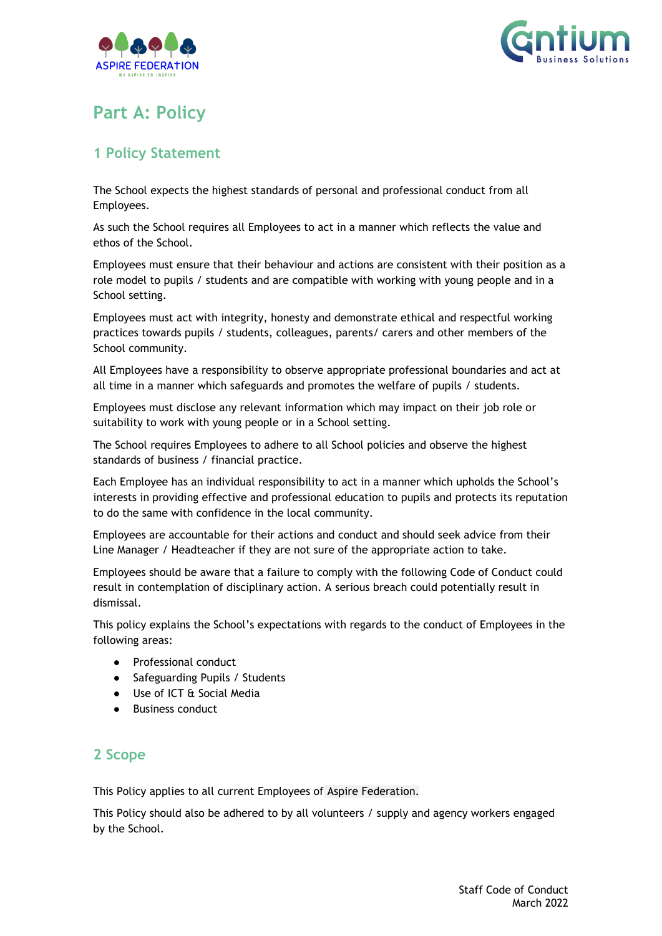



# **Part A: Policy**

### <span id="page-5-0"></span>**1 Policy Statement**

The School expects the highest standards of personal and professional conduct from all Employees.

As such the School requires all Employees to act in a manner which reflects the value and ethos of the School.

Employees must ensure that their behaviour and actions are consistent with their position as a role model to pupils / students and are compatible with working with young people and in a School setting.

Employees must act with integrity, honesty and demonstrate ethical and respectful working practices towards pupils / students, colleagues, parents/ carers and other members of the School community.

All Employees have a responsibility to observe appropriate professional boundaries and act at all time in a manner which safeguards and promotes the welfare of pupils / students.

Employees must disclose any relevant information which may impact on their job role or suitability to work with young people or in a School setting.

The School requires Employees to adhere to all School policies and observe the highest standards of business / financial practice.

Each Employee has an individual responsibility to act in a manner which upholds the School's interests in providing effective and professional education to pupils and protects its reputation to do the same with confidence in the local community.

Employees are accountable for their actions and conduct and should seek advice from their Line Manager / Headteacher if they are not sure of the appropriate action to take.

Employees should be aware that a failure to comply with the following Code of Conduct could result in contemplation of disciplinary action. A serious breach could potentially result in dismissal.

This policy explains the School's expectations with regards to the conduct of Employees in the following areas:

- Professional conduct
- Safeguarding Pupils / Students
- Use of ICT & Social Media
- **Business conduct**

### <span id="page-5-1"></span>**2 Scope**

This Policy applies to all current Employees of Aspire Federation.

This Policy should also be adhered to by all volunteers / supply and agency workers engaged by the School.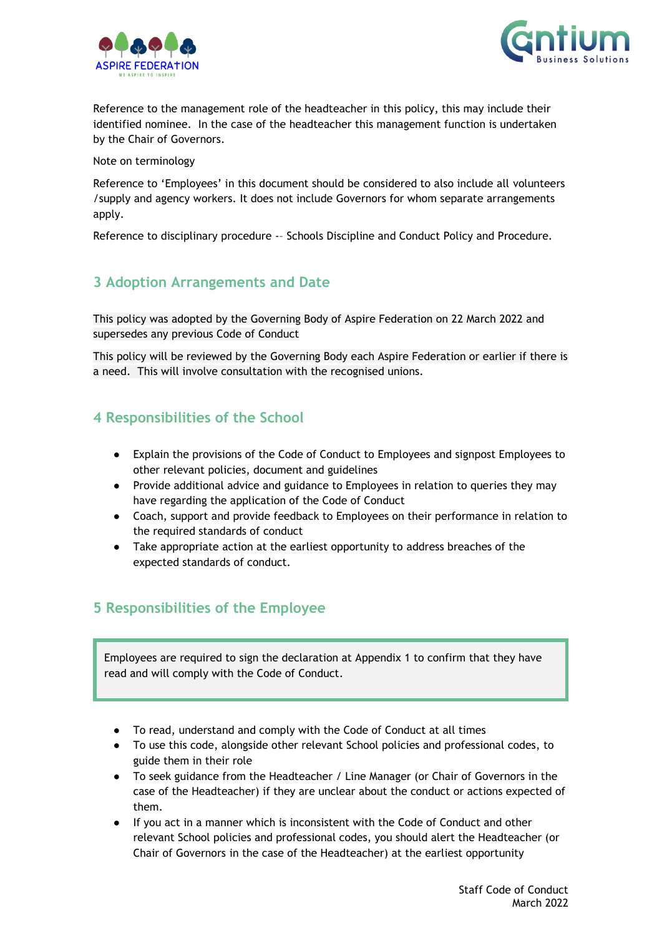



Reference to the management role of the headteacher in this policy, this may include their identified nominee. In the case of the headteacher this management function is undertaken by the Chair of Governors.

Note on terminology

Reference to 'Employees' in this document should be considered to also include all volunteers /supply and agency workers. It does not include Governors for whom separate arrangements apply.

Reference to disciplinary procedure -– Schools Discipline and Conduct Policy and Procedure.

### <span id="page-6-0"></span>**3 Adoption Arrangements and Date**

This policy was adopted by the Governing Body of Aspire Federation on 22 March 2022 and supersedes any previous Code of Conduct

This policy will be reviewed by the Governing Body each Aspire Federation or earlier if there is a need. This will involve consultation with the recognised unions.

### <span id="page-6-1"></span>**4 Responsibilities of the School**

- Explain the provisions of the Code of Conduct to Employees and signpost Employees to other relevant policies, document and guidelines
- Provide additional advice and guidance to Employees in relation to queries they may have regarding the application of the Code of Conduct
- Coach, support and provide feedback to Employees on their performance in relation to the required standards of conduct
- Take appropriate action at the earliest opportunity to address breaches of the expected standards of conduct.

### <span id="page-6-2"></span>**5 Responsibilities of the Employee**

Employees are required to sign the declaration at Appendix 1 to confirm that they have read and will comply with the Code of Conduct.

- To read, understand and comply with the Code of Conduct at all times
- To use this code, alongside other relevant School policies and professional codes, to guide them in their role
- To seek guidance from the Headteacher / Line Manager (or Chair of Governors in the case of the Headteacher) if they are unclear about the conduct or actions expected of them.
- If you act in a manner which is inconsistent with the Code of Conduct and other relevant School policies and professional codes, you should alert the Headteacher (or Chair of Governors in the case of the Headteacher) at the earliest opportunity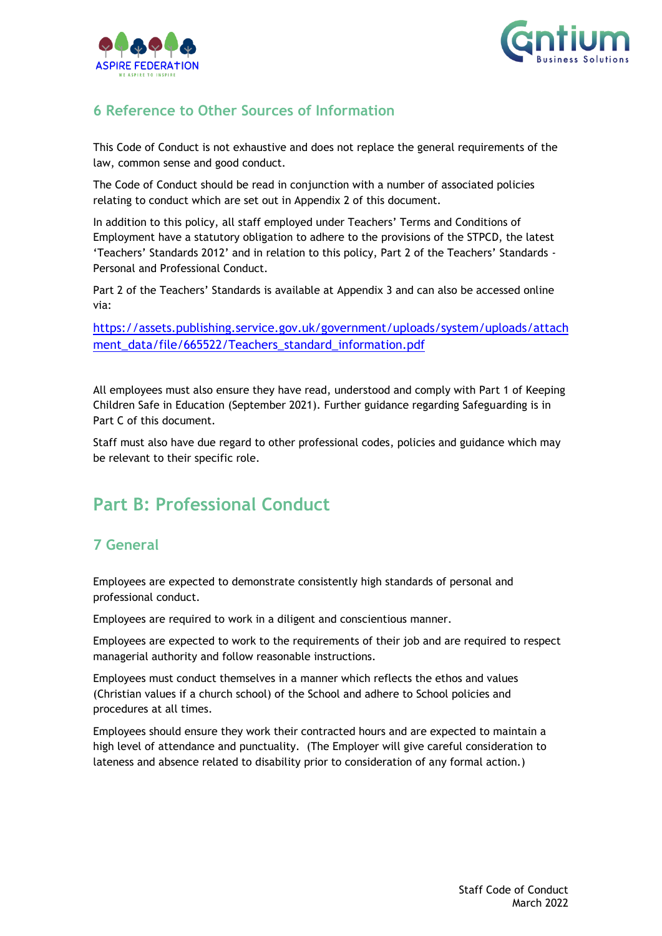



# <span id="page-7-0"></span>**6 Reference to Other Sources of Information**

This Code of Conduct is not exhaustive and does not replace the general requirements of the law, common sense and good conduct.

The Code of Conduct should be read in conjunction with a number of associated policies relating to conduct which are set out in Appendix 2 of this document.

In addition to this policy, all staff employed under Teachers' Terms and Conditions of Employment have a statutory obligation to adhere to the provisions of the STPCD, the latest 'Teachers' Standards 2012' and in relation to this policy, Part 2 of the Teachers' Standards - Personal and Professional Conduct.

Part 2 of the Teachers' Standards is available at Appendix 3 and can also be accessed online via:

[https://assets.publishing.service.gov.uk/government/uploads/system/uploads/attach](https://assets.publishing.service.gov.uk/government/uploads/system/uploads/attachment_data/file/665522/Teachers_standard_information.pdf) [ment\\_data/file/665522/Teachers\\_standard\\_information.pdf](https://assets.publishing.service.gov.uk/government/uploads/system/uploads/attachment_data/file/665522/Teachers_standard_information.pdf)

All employees must also ensure they have read, understood and comply with Part 1 of Keeping Children Safe in Education (September 2021). Further guidance regarding Safeguarding is in Part C of this document.

Staff must also have due regard to other professional codes, policies and guidance which may be relevant to their specific role.

# <span id="page-7-1"></span>**Part B: Professional Conduct**

## <span id="page-7-2"></span>**7 General**

Employees are expected to demonstrate consistently high standards of personal and professional conduct.

Employees are required to work in a diligent and conscientious manner.

Employees are expected to work to the requirements of their job and are required to respect managerial authority and follow reasonable instructions.

Employees must conduct themselves in a manner which reflects the ethos and values (Christian values if a church school) of the School and adhere to School policies and procedures at all times.

<span id="page-7-3"></span>Employees should ensure they work their contracted hours and are expected to maintain a high level of attendance and punctuality. (The Employer will give careful consideration to lateness and absence related to disability prior to consideration of any formal action.)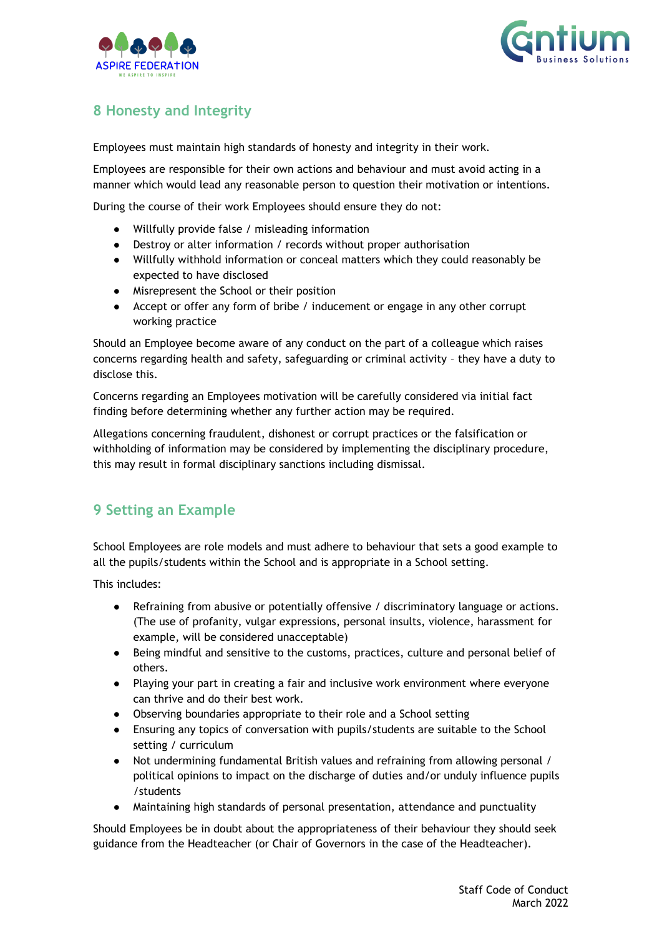



# **8 Honesty and Integrity**

Employees must maintain high standards of honesty and integrity in their work.

Employees are responsible for their own actions and behaviour and must avoid acting in a manner which would lead any reasonable person to question their motivation or intentions.

During the course of their work Employees should ensure they do not:

- Willfully provide false / misleading information
- Destroy or alter information / records without proper authorisation
- Willfully withhold information or conceal matters which they could reasonably be expected to have disclosed
- Misrepresent the School or their position
- Accept or offer any form of bribe / inducement or engage in any other corrupt working practice

Should an Employee become aware of any conduct on the part of a colleague which raises concerns regarding health and safety, safeguarding or criminal activity – they have a duty to disclose this.

Concerns regarding an Employees motivation will be carefully considered via initial fact finding before determining whether any further action may be required.

Allegations concerning fraudulent, dishonest or corrupt practices or the falsification or withholding of information may be considered by implementing the disciplinary procedure, this may result in formal disciplinary sanctions including dismissal.

# <span id="page-8-0"></span>**9 Setting an Example**

School Employees are role models and must adhere to behaviour that sets a good example to all the pupils/students within the School and is appropriate in a School setting.

This includes:

- Refraining from abusive or potentially offensive / discriminatory language or actions. (The use of profanity, vulgar expressions, personal insults, violence, harassment for example, will be considered unacceptable)
- Being mindful and sensitive to the customs, practices, culture and personal belief of others.
- Playing your part in creating a fair and inclusive work environment where everyone can thrive and do their best work.
- Observing boundaries appropriate to their role and a School setting
- Ensuring any topics of conversation with pupils/students are suitable to the School setting / curriculum
- Not undermining fundamental British values and refraining from allowing personal / political opinions to impact on the discharge of duties and/or unduly influence pupils /students
- Maintaining high standards of personal presentation, attendance and punctuality

Should Employees be in doubt about the appropriateness of their behaviour they should seek guidance from the Headteacher (or Chair of Governors in the case of the Headteacher).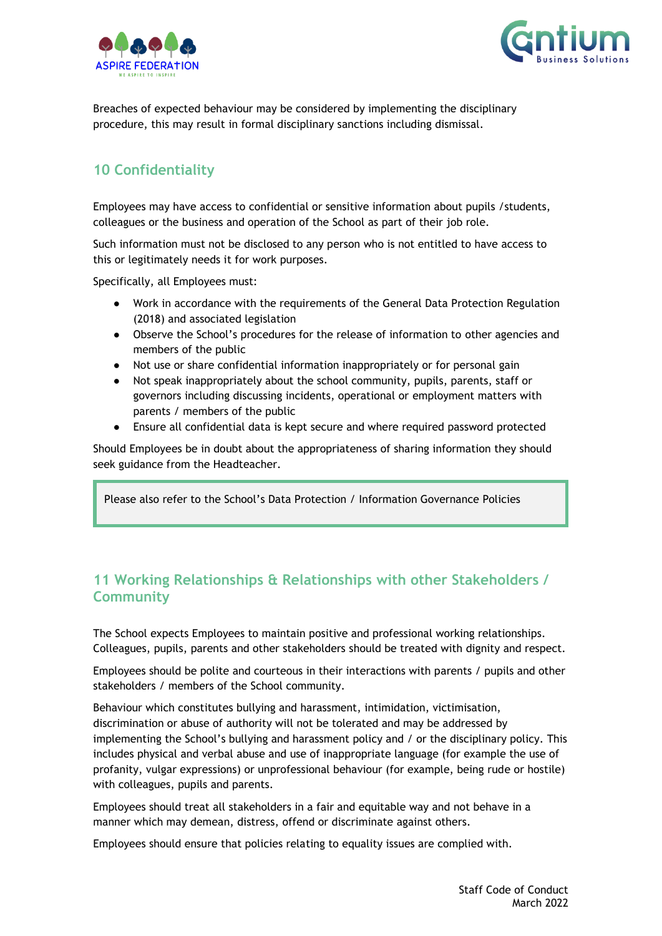



Breaches of expected behaviour may be considered by implementing the disciplinary procedure, this may result in formal disciplinary sanctions including dismissal.

# <span id="page-9-0"></span>**10 Confidentiality**

Employees may have access to confidential or sensitive information about pupils /students, colleagues or the business and operation of the School as part of their job role.

Such information must not be disclosed to any person who is not entitled to have access to this or legitimately needs it for work purposes.

Specifically, all Employees must:

- Work in accordance with the requirements of the General Data Protection Regulation (2018) and associated legislation
- Observe the School's procedures for the release of information to other agencies and members of the public
- Not use or share confidential information inappropriately or for personal gain
- Not speak inappropriately about the school community, pupils, parents, staff or governors including discussing incidents, operational or employment matters with parents / members of the public
- Ensure all confidential data is kept secure and where required password protected

Should Employees be in doubt about the appropriateness of sharing information they should seek guidance from the Headteacher.

Please also refer to the School's Data Protection / Information Governance Policies

## <span id="page-9-1"></span>**11 Working Relationships & Relationships with other Stakeholders / Community**

The School expects Employees to maintain positive and professional working relationships. Colleagues, pupils, parents and other stakeholders should be treated with dignity and respect.

Employees should be polite and courteous in their interactions with parents / pupils and other stakeholders / members of the School community.

Behaviour which constitutes bullying and harassment, intimidation, victimisation, discrimination or abuse of authority will not be tolerated and may be addressed by implementing the School's bullying and harassment policy and / or the disciplinary policy. This includes physical and verbal abuse and use of inappropriate language (for example the use of profanity, vulgar expressions) or unprofessional behaviour (for example, being rude or hostile) with colleagues, pupils and parents.

Employees should treat all stakeholders in a fair and equitable way and not behave in a manner which may demean, distress, offend or discriminate against others.

Employees should ensure that policies relating to equality issues are complied with.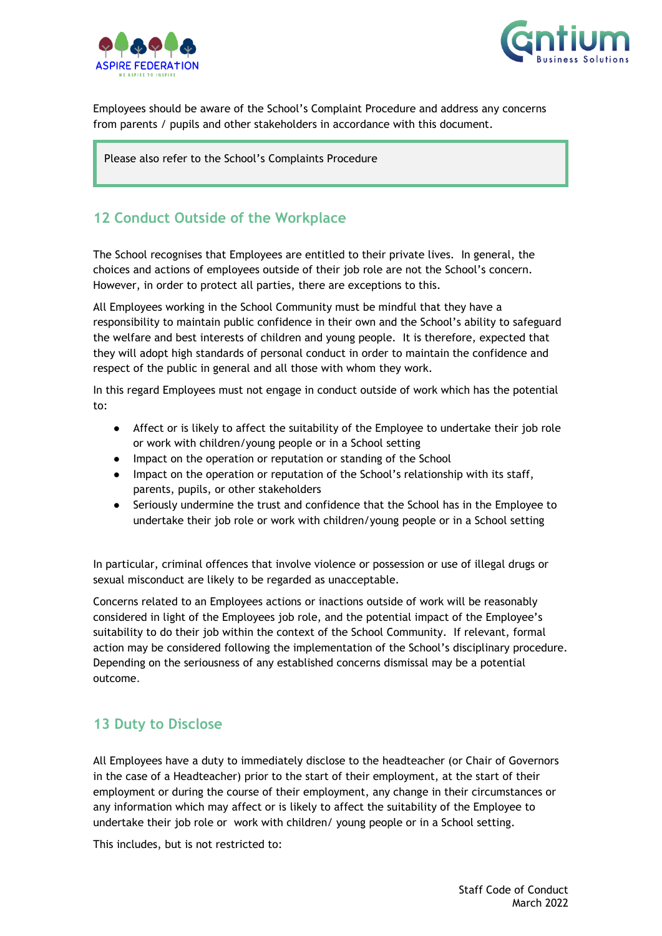



Employees should be aware of the School's Complaint Procedure and address any concerns from parents / pupils and other stakeholders in accordance with this document.

Please also refer to the School's Complaints Procedure

### <span id="page-10-0"></span>**12 Conduct Outside of the Workplace**

The School recognises that Employees are entitled to their private lives. In general, the choices and actions of employees outside of their job role are not the School's concern. However, in order to protect all parties, there are exceptions to this.

All Employees working in the School Community must be mindful that they have a responsibility to maintain public confidence in their own and the School's ability to safeguard the welfare and best interests of children and young people. It is therefore, expected that they will adopt high standards of personal conduct in order to maintain the confidence and respect of the public in general and all those with whom they work.

In this regard Employees must not engage in conduct outside of work which has the potential to:

- Affect or is likely to affect the suitability of the Employee to undertake their job role or work with children/young people or in a School setting
- Impact on the operation or reputation or standing of the School
- Impact on the operation or reputation of the School's relationship with its staff, parents, pupils, or other stakeholders
- Seriously undermine the trust and confidence that the School has in the Employee to undertake their job role or work with children/young people or in a School setting

In particular, criminal offences that involve violence or possession or use of illegal drugs or sexual misconduct are likely to be regarded as unacceptable.

Concerns related to an Employees actions or inactions outside of work will be reasonably considered in light of the Employees job role, and the potential impact of the Employee's suitability to do their job within the context of the School Community. If relevant, formal action may be considered following the implementation of the School's disciplinary procedure. Depending on the seriousness of any established concerns dismissal may be a potential outcome.

### <span id="page-10-1"></span>**13 Duty to Disclose**

All Employees have a duty to immediately disclose to the headteacher (or Chair of Governors in the case of a Headteacher) prior to the start of their employment, at the start of their employment or during the course of their employment, any change in their circumstances or any information which may affect or is likely to affect the suitability of the Employee to undertake their job role or work with children/ young people or in a School setting.

This includes, but is not restricted to: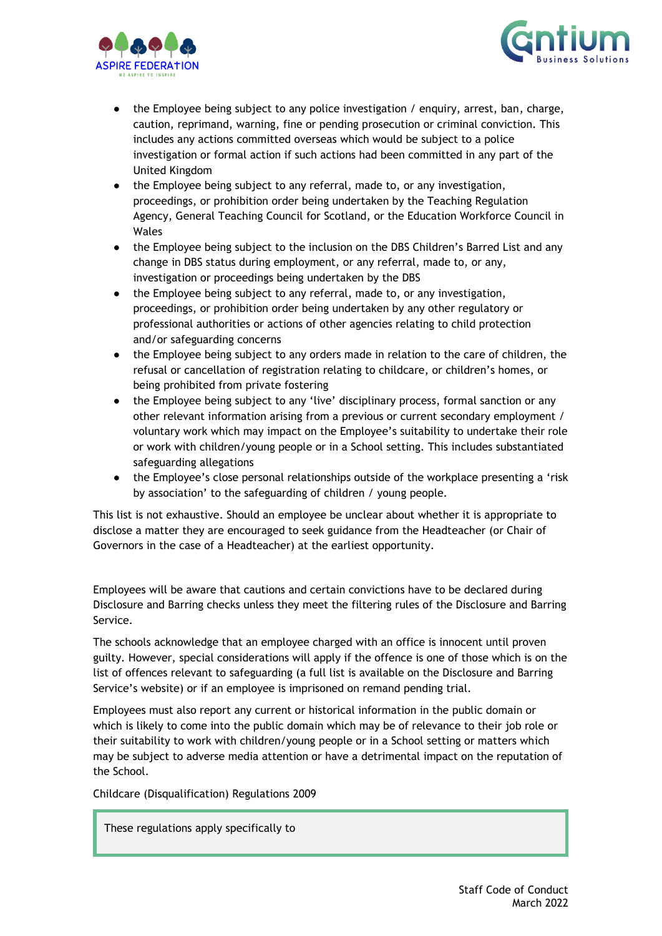



- the Employee being subject to any police investigation / enquiry, arrest, ban, charge, caution, reprimand, warning, fine or pending prosecution or criminal conviction. This includes any actions committed overseas which would be subject to a police investigation or formal action if such actions had been committed in any part of the United Kingdom
- the Employee being subject to any referral, made to, or any investigation, proceedings, or prohibition order being undertaken by the Teaching Regulation Agency, General Teaching Council for Scotland, or the Education Workforce Council in Wales
- the Employee being subject to the inclusion on the DBS Children's Barred List and any change in DBS status during employment, or any referral, made to, or any, investigation or proceedings being undertaken by the DBS
- the Employee being subject to any referral, made to, or any investigation, proceedings, or prohibition order being undertaken by any other regulatory or professional authorities or actions of other agencies relating to child protection and/or safeguarding concerns
- the Employee being subject to any orders made in relation to the care of children, the refusal or cancellation of registration relating to childcare, or children's homes, or being prohibited from private fostering
- the Employee being subject to any 'live' disciplinary process, formal sanction or any other relevant information arising from a previous or current secondary employment / voluntary work which may impact on the Employee's suitability to undertake their role or work with children/young people or in a School setting. This includes substantiated safeguarding allegations
- the Employee's close personal relationships outside of the workplace presenting a 'risk by association' to the safeguarding of children / young people.

This list is not exhaustive. Should an employee be unclear about whether it is appropriate to disclose a matter they are encouraged to seek guidance from the Headteacher (or Chair of Governors in the case of a Headteacher) at the earliest opportunity.

Employees will be aware that cautions and certain convictions have to be declared during Disclosure and Barring checks unless they meet the filtering rules of the Disclosure and Barring Service.

The schools acknowledge that an employee charged with an office is innocent until proven guilty. However, special considerations will apply if the offence is one of those which is on the list of offences relevant to safeguarding (a full list is available on the Disclosure and Barring Service's website) or if an employee is imprisoned on remand pending trial.

Employees must also report any current or historical information in the public domain or which is likely to come into the public domain which may be of relevance to their job role or their suitability to work with children/young people or in a School setting or matters which may be subject to adverse media attention or have a detrimental impact on the reputation of the School.

Childcare (Disqualification) Regulations 2009

These regulations apply specifically to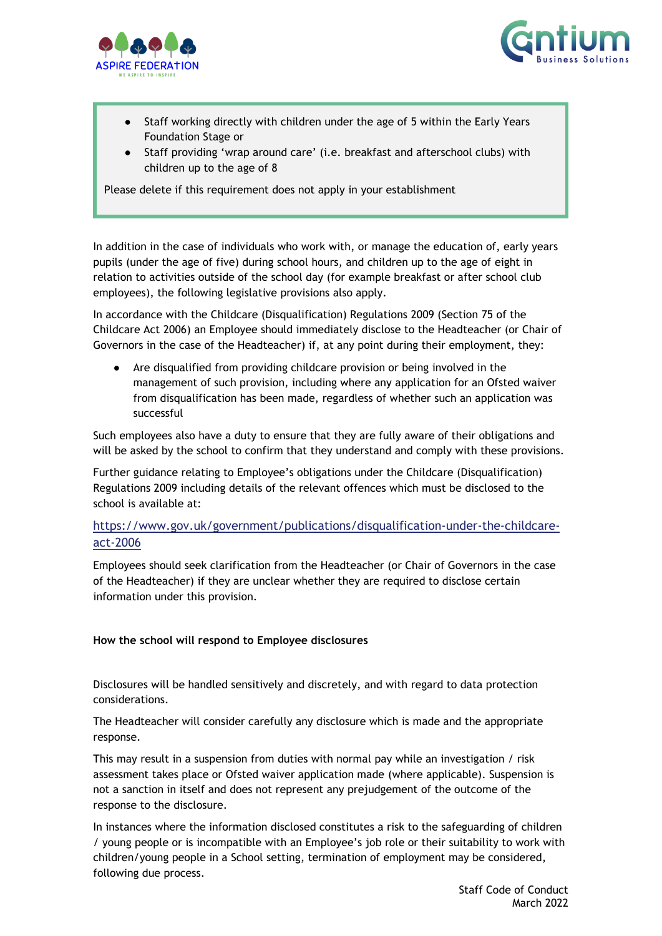



- Staff working directly with children under the age of 5 within the Early Years Foundation Stage or
- Staff providing 'wrap around care' (i.e. breakfast and afterschool clubs) with children up to the age of 8

Please delete if this requirement does not apply in your establishment

In addition in the case of individuals who work with, or manage the education of, early years pupils (under the age of five) during school hours, and children up to the age of eight in relation to activities outside of the school day (for example breakfast or after school club employees), the following legislative provisions also apply.

In accordance with the Childcare (Disqualification) Regulations 2009 (Section 75 of the Childcare Act 2006) an Employee should immediately disclose to the Headteacher (or Chair of Governors in the case of the Headteacher) if, at any point during their employment, they:

Are disqualified from providing childcare provision or being involved in the management of such provision, including where any application for an Ofsted waiver from disqualification has been made, regardless of whether such an application was successful

Such employees also have a duty to ensure that they are fully aware of their obligations and will be asked by the school to confirm that they understand and comply with these provisions.

Further guidance relating to Employee's obligations under the Childcare (Disqualification) Regulations 2009 including details of the relevant offences which must be disclosed to the school is available at:

#### [https://www.gov.uk/government/publications/disqualification-under-the-childcare](https://www.gov.uk/government/publications/disqualification-under-the-childcare-act-2006)[act-2006](https://www.gov.uk/government/publications/disqualification-under-the-childcare-act-2006)

Employees should seek clarification from the Headteacher (or Chair of Governors in the case of the Headteacher) if they are unclear whether they are required to disclose certain information under this provision.

#### **How the school will respond to Employee disclosures**

Disclosures will be handled sensitively and discretely, and with regard to data protection considerations.

The Headteacher will consider carefully any disclosure which is made and the appropriate response.

This may result in a suspension from duties with normal pay while an investigation / risk assessment takes place or Ofsted waiver application made (where applicable). Suspension is not a sanction in itself and does not represent any prejudgement of the outcome of the response to the disclosure.

In instances where the information disclosed constitutes a risk to the safeguarding of children / young people or is incompatible with an Employee's job role or their suitability to work with children/young people in a School setting, termination of employment may be considered, following due process.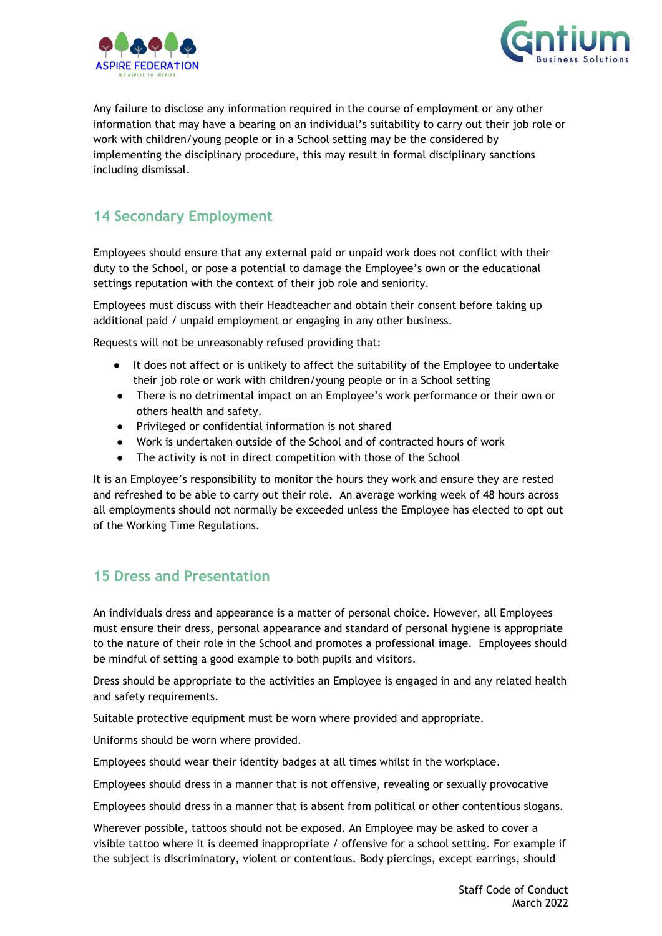



Any failure to disclose any information required in the course of employment or any other information that may have a bearing on an individual's suitability to carry out their job role or work with children/young people or in a School setting may be the considered by implementing the disciplinary procedure, this may result in formal disciplinary sanctions including dismissal.

### <span id="page-13-0"></span>**14 Secondary Employment**

Employees should ensure that any external paid or unpaid work does not conflict with their duty to the School, or pose a potential to damage the Employee's own or the educational settings reputation with the context of their job role and seniority.

Employees must discuss with their Headteacher and obtain their consent before taking up additional paid / unpaid employment or engaging in any other business.

Requests will not be unreasonably refused providing that:

- It does not affect or is unlikely to affect the suitability of the Employee to undertake their job role or work with children/young people or in a School setting
- There is no detrimental impact on an Employee's work performance or their own or others health and safety.
- Privileged or confidential information is not shared
- Work is undertaken outside of the School and of contracted hours of work
- The activity is not in direct competition with those of the School

It is an Employee's responsibility to monitor the hours they work and ensure they are rested and refreshed to be able to carry out their role. An average working week of 48 hours across all employments should not normally be exceeded unless the Employee has elected to opt out of the Working Time Regulations.

### <span id="page-13-1"></span>**15 Dress and Presentation**

An individuals dress and appearance is a matter of personal choice. However, all Employees must ensure their dress, personal appearance and standard of personal hygiene is appropriate to the nature of their role in the School and promotes a professional image. Employees should be mindful of setting a good example to both pupils and visitors.

Dress should be appropriate to the activities an Employee is engaged in and any related health and safety requirements.

Suitable protective equipment must be worn where provided and appropriate.

Uniforms should be worn where provided.

Employees should wear their identity badges at all times whilst in the workplace.

Employees should dress in a manner that is not offensive, revealing or sexually provocative

Employees should dress in a manner that is absent from political or other contentious slogans.

Wherever possible, tattoos should not be exposed. An Employee may be asked to cover a visible tattoo where it is deemed inappropriate / offensive for a school setting. For example if the subject is discriminatory, violent or contentious. Body piercings, except earrings, should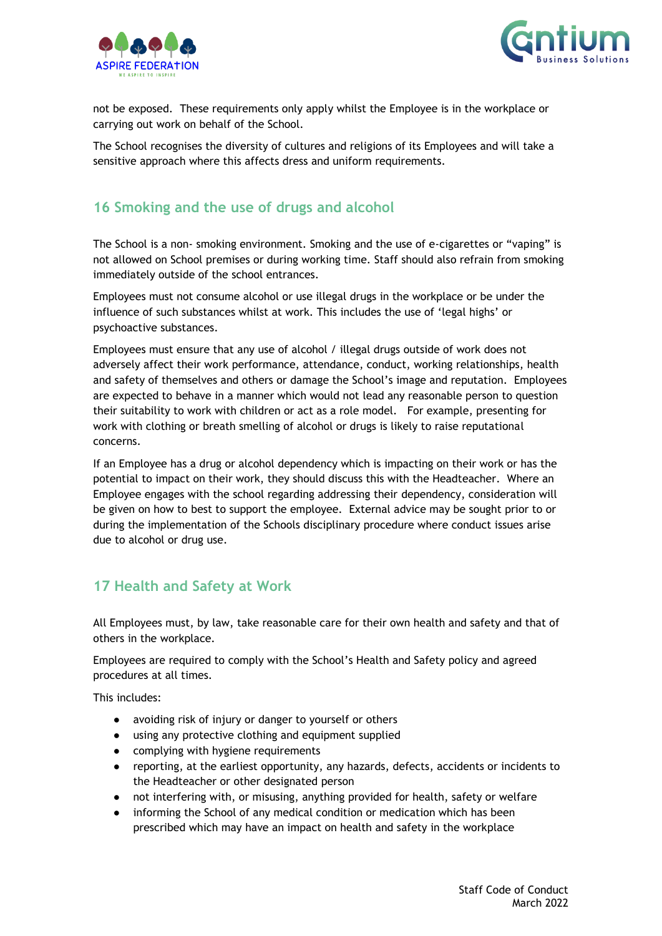



not be exposed. These requirements only apply whilst the Employee is in the workplace or carrying out work on behalf of the School.

The School recognises the diversity of cultures and religions of its Employees and will take a sensitive approach where this affects dress and uniform requirements.

# <span id="page-14-0"></span>**16 Smoking and the use of drugs and alcohol**

The School is a non- smoking environment. Smoking and the use of e-cigarettes or "vaping" is not allowed on School premises or during working time. Staff should also refrain from smoking immediately outside of the school entrances.

Employees must not consume alcohol or use illegal drugs in the workplace or be under the influence of such substances whilst at work. This includes the use of 'legal highs' or psychoactive substances.

Employees must ensure that any use of alcohol / illegal drugs outside of work does not adversely affect their work performance, attendance, conduct, working relationships, health and safety of themselves and others or damage the School's image and reputation. Employees are expected to behave in a manner which would not lead any reasonable person to question their suitability to work with children or act as a role model. For example, presenting for work with clothing or breath smelling of alcohol or drugs is likely to raise reputational concerns.

If an Employee has a drug or alcohol dependency which is impacting on their work or has the potential to impact on their work, they should discuss this with the Headteacher. Where an Employee engages with the school regarding addressing their dependency, consideration will be given on how to best to support the employee. External advice may be sought prior to or during the implementation of the Schools disciplinary procedure where conduct issues arise due to alcohol or drug use.

### <span id="page-14-1"></span>**17 Health and Safety at Work**

All Employees must, by law, take reasonable care for their own health and safety and that of others in the workplace.

Employees are required to comply with the School's Health and Safety policy and agreed procedures at all times.

This includes:

- avoiding risk of injury or danger to yourself or others
- using any protective clothing and equipment supplied
- complying with hygiene requirements
- reporting, at the earliest opportunity, any hazards, defects, accidents or incidents to the Headteacher or other designated person
- not interfering with, or misusing, anything provided for health, safety or welfare
- informing the School of any medical condition or medication which has been prescribed which may have an impact on health and safety in the workplace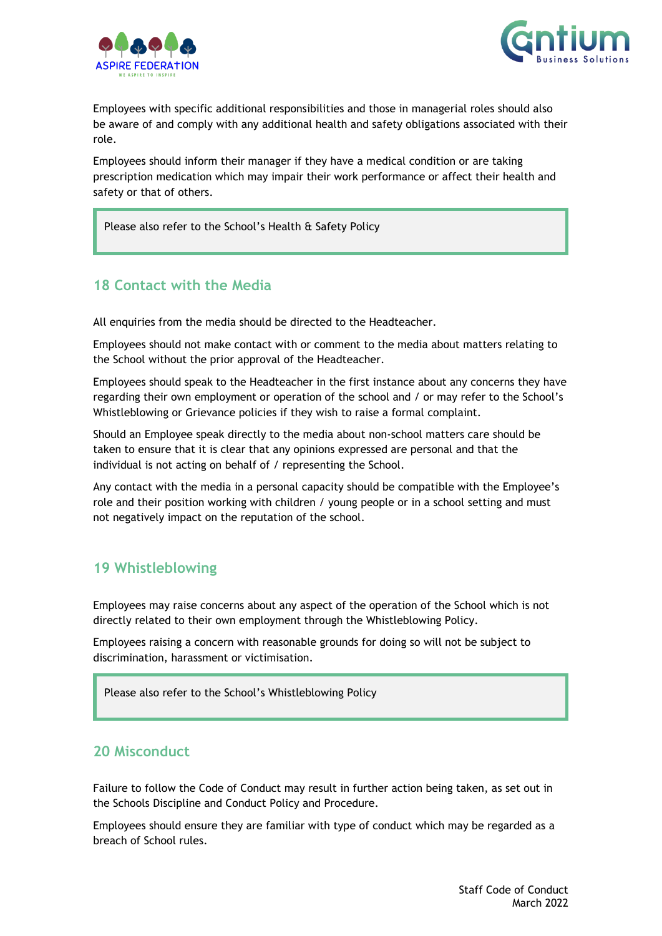



Employees with specific additional responsibilities and those in managerial roles should also be aware of and comply with any additional health and safety obligations associated with their role.

Employees should inform their manager if they have a medical condition or are taking prescription medication which may impair their work performance or affect their health and safety or that of others.

Please also refer to the School's Health & Safety Policy

### <span id="page-15-0"></span>**18 Contact with the Media**

All enquiries from the media should be directed to the Headteacher.

Employees should not make contact with or comment to the media about matters relating to the School without the prior approval of the Headteacher.

Employees should speak to the Headteacher in the first instance about any concerns they have regarding their own employment or operation of the school and / or may refer to the School's Whistleblowing or Grievance policies if they wish to raise a formal complaint.

Should an Employee speak directly to the media about non-school matters care should be taken to ensure that it is clear that any opinions expressed are personal and that the individual is not acting on behalf of / representing the School.

Any contact with the media in a personal capacity should be compatible with the Employee's role and their position working with children / young people or in a school setting and must not negatively impact on the reputation of the school.

### <span id="page-15-1"></span>**19 Whistleblowing**

Employees may raise concerns about any aspect of the operation of the School which is not directly related to their own employment through the Whistleblowing Policy.

Employees raising a concern with reasonable grounds for doing so will not be subject to discrimination, harassment or victimisation.

Please also refer to the School's Whistleblowing Policy

### <span id="page-15-2"></span>**20 Misconduct**

Failure to follow the Code of Conduct may result in further action being taken, as set out in the Schools Discipline and Conduct Policy and Procedure.

Employees should ensure they are familiar with type of conduct which may be regarded as a breach of School rules.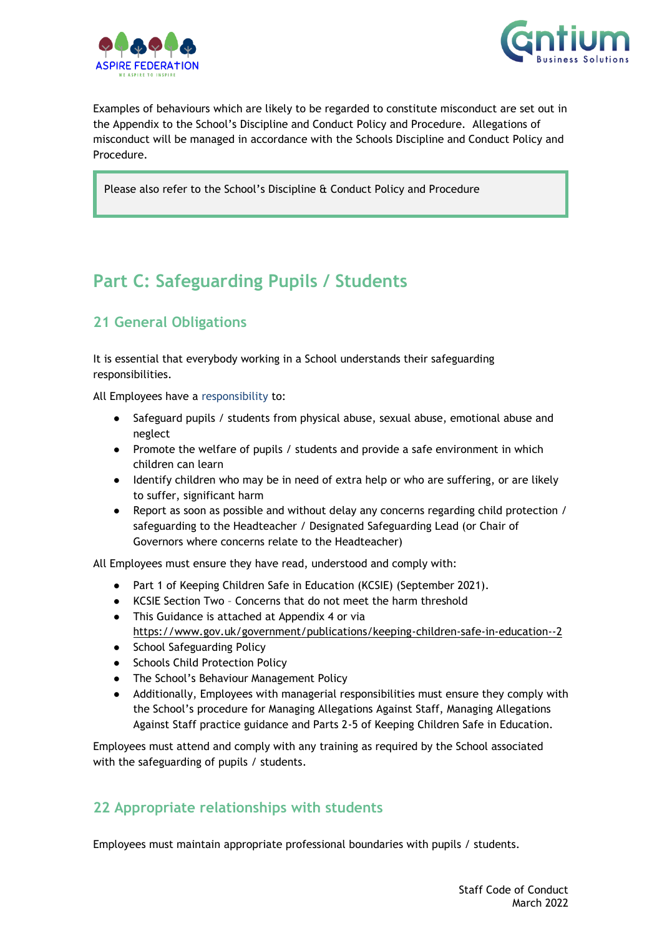



Examples of behaviours which are likely to be regarded to constitute misconduct are set out in the Appendix to the School's Discipline and Conduct Policy and Procedure. Allegations of misconduct will be managed in accordance with the Schools Discipline and Conduct Policy and Procedure.

Please also refer to the School's Discipline & Conduct Policy and Procedure

# <span id="page-16-0"></span>**Part C: Safeguarding Pupils / Students**

# <span id="page-16-1"></span>**21 General Obligations**

It is essential that everybody working in a School understands their safeguarding responsibilities.

All Employees have a responsibility to:

- Safeguard pupils / students from physical abuse, sexual abuse, emotional abuse and neglect
- Promote the welfare of pupils / students and provide a safe environment in which children can learn
- Identify children who may be in need of extra help or who are suffering, or are likely to suffer, significant harm
- Report as soon as possible and without delay any concerns regarding child protection / safeguarding to the Headteacher / Designated Safeguarding Lead (or Chair of Governors where concerns relate to the Headteacher)

All Employees must ensure they have read, understood and comply with:

- Part 1 of Keeping Children Safe in Education (KCSIE) (September 2021).
- KCSIE Section Two Concerns that do not meet the harm threshold
- This Guidance is attached at Appendix 4 or via <https://www.gov.uk/government/publications/keeping-children-safe-in-education--2>
- School Safeguarding Policy
- Schools Child Protection Policy
- The School's Behaviour Management Policy
- Additionally, Employees with managerial responsibilities must ensure they comply with the School's procedure for Managing Allegations Against Staff, Managing Allegations Against Staff practice guidance and Parts 2-5 of Keeping Children Safe in Education.

Employees must attend and comply with any training as required by the School associated with the safeguarding of pupils / students.

## <span id="page-16-2"></span>**22 Appropriate relationships with students**

Employees must maintain appropriate professional boundaries with pupils / students.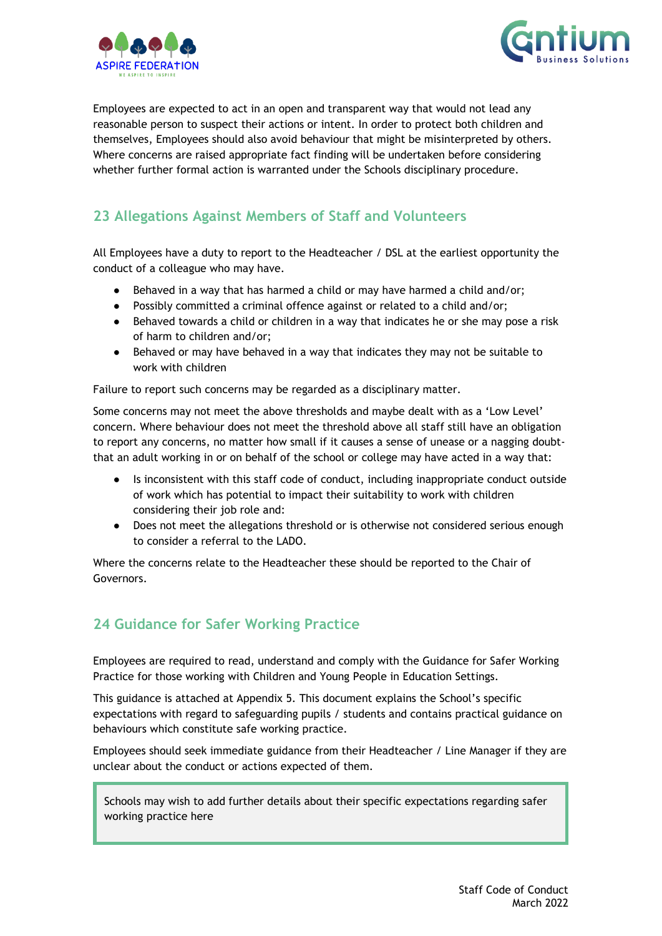



Employees are expected to act in an open and transparent way that would not lead any reasonable person to suspect their actions or intent. In order to protect both children and themselves, Employees should also avoid behaviour that might be misinterpreted by others. Where concerns are raised appropriate fact finding will be undertaken before considering whether further formal action is warranted under the Schools disciplinary procedure.

## <span id="page-17-0"></span>**23 Allegations Against Members of Staff and Volunteers**

All Employees have a duty to report to the Headteacher / DSL at the earliest opportunity the conduct of a colleague who may have.

- Behaved in a way that has harmed a child or may have harmed a child and/or;
- Possibly committed a criminal offence against or related to a child and/or;
- Behaved towards a child or children in a way that indicates he or she may pose a risk of harm to children and/or;
- Behaved or may have behaved in a way that indicates they may not be suitable to work with children

Failure to report such concerns may be regarded as a disciplinary matter.

Some concerns may not meet the above thresholds and maybe dealt with as a 'Low Level' concern. Where behaviour does not meet the threshold above all staff still have an obligation to report any concerns, no matter how small if it causes a sense of unease or a nagging doubtthat an adult working in or on behalf of the school or college may have acted in a way that:

- Is inconsistent with this staff code of conduct, including inappropriate conduct outside of work which has potential to impact their suitability to work with children considering their job role and:
- Does not meet the allegations threshold or is otherwise not considered serious enough to consider a referral to the LADO.

Where the concerns relate to the Headteacher these should be reported to the Chair of Governors.

## <span id="page-17-1"></span>**24 Guidance for Safer Working Practice**

Employees are required to read, understand and comply with the Guidance for Safer Working Practice for those working with Children and Young People in Education Settings.

This guidance is attached at Appendix 5. This document explains the School's specific expectations with regard to safeguarding pupils / students and contains practical guidance on behaviours which constitute safe working practice.

Employees should seek immediate guidance from their Headteacher / Line Manager if they are unclear about the conduct or actions expected of them.

Schools may wish to add further details about their specific expectations regarding safer working practice here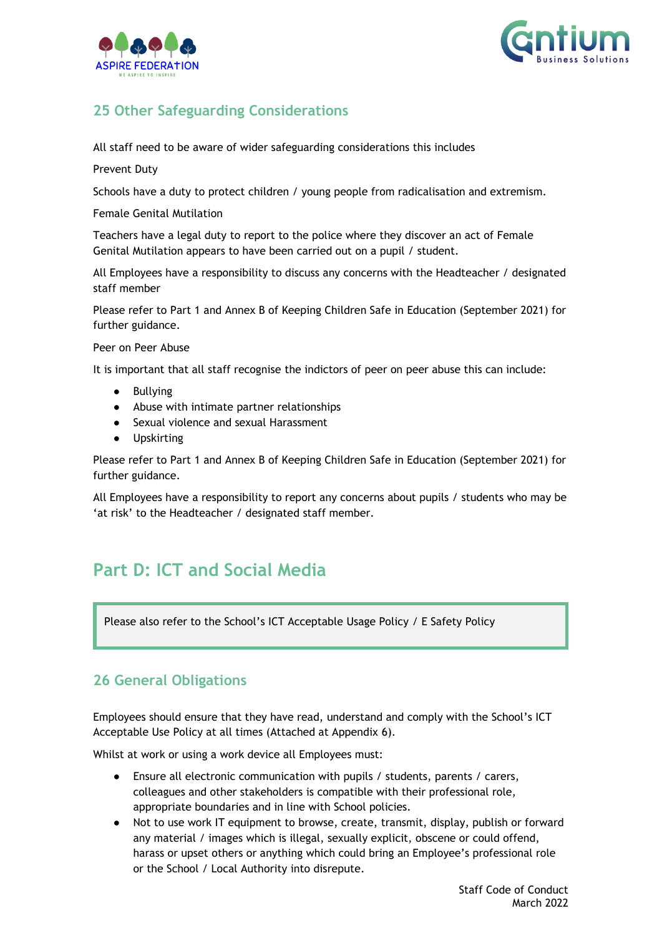



# <span id="page-18-0"></span>**25 Other Safeguarding Considerations**

All staff need to be aware of wider safeguarding considerations this includes

Prevent Duty

Schools have a duty to protect children / young people from radicalisation and extremism.

Female Genital Mutilation

Teachers have a legal duty to report to the police where they discover an act of Female Genital Mutilation appears to have been carried out on a pupil / student.

All Employees have a responsibility to discuss any concerns with the Headteacher / designated staff member

Please refer to Part 1 and Annex B of Keeping Children Safe in Education (September 2021) for further guidance.

Peer on Peer Abuse

It is important that all staff recognise the indictors of peer on peer abuse this can include:

- **Bullying**
- Abuse with intimate partner relationships
- Sexual violence and sexual Harassment
- Upskirting

Please refer to Part 1 and Annex B of Keeping Children Safe in Education (September 2021) for further guidance.

All Employees have a responsibility to report any concerns about pupils / students who may be 'at risk' to the Headteacher / designated staff member.

# <span id="page-18-1"></span>**Part D: ICT and Social Media**

Please also refer to the School's ICT Acceptable Usage Policy / E Safety Policy

### <span id="page-18-2"></span>**26 General Obligations**

Employees should ensure that they have read, understand and comply with the School's ICT Acceptable Use Policy at all times (Attached at Appendix 6).

Whilst at work or using a work device all Employees must:

- Ensure all electronic communication with pupils / students, parents / carers, colleagues and other stakeholders is compatible with their professional role, appropriate boundaries and in line with School policies.
- Not to use work IT equipment to browse, create, transmit, display, publish or forward any material / images which is illegal, sexually explicit, obscene or could offend, harass or upset others or anything which could bring an Employee's professional role or the School / Local Authority into disrepute.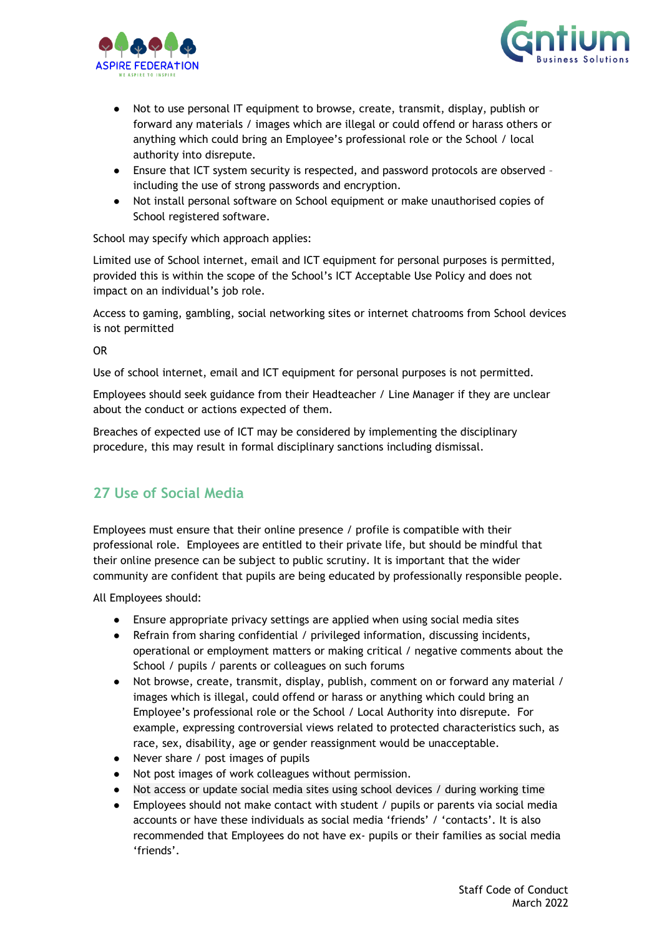



- Not to use personal IT equipment to browse, create, transmit, display, publish or forward any materials / images which are illegal or could offend or harass others or anything which could bring an Employee's professional role or the School / local authority into disrepute.
- Ensure that ICT system security is respected, and password protocols are observed including the use of strong passwords and encryption.
- Not install personal software on School equipment or make unauthorised copies of School registered software.

School may specify which approach applies:

Limited use of School internet, email and ICT equipment for personal purposes is permitted, provided this is within the scope of the School's ICT Acceptable Use Policy and does not impact on an individual's job role.

Access to gaming, gambling, social networking sites or internet chatrooms from School devices is not permitted

OR

Use of school internet, email and ICT equipment for personal purposes is not permitted.

Employees should seek guidance from their Headteacher / Line Manager if they are unclear about the conduct or actions expected of them.

Breaches of expected use of ICT may be considered by implementing the disciplinary procedure, this may result in formal disciplinary sanctions including dismissal.

## <span id="page-19-0"></span>**27 Use of Social Media**

Employees must ensure that their online presence / profile is compatible with their professional role. Employees are entitled to their private life, but should be mindful that their online presence can be subject to public scrutiny. It is important that the wider community are confident that pupils are being educated by professionally responsible people.

All Employees should:

- Ensure appropriate privacy settings are applied when using social media sites
- Refrain from sharing confidential / privileged information, discussing incidents, operational or employment matters or making critical / negative comments about the School / pupils / parents or colleagues on such forums
- Not browse, create, transmit, display, publish, comment on or forward any material / images which is illegal, could offend or harass or anything which could bring an Employee's professional role or the School / Local Authority into disrepute. For example, expressing controversial views related to protected characteristics such, as race, sex, disability, age or gender reassignment would be unacceptable.
- Never share / post images of pupils
- Not post images of work colleagues without permission.
- Not access or update social media sites using school devices  $/$  during working time
- Employees should not make contact with student / pupils or parents via social media accounts or have these individuals as social media 'friends' / 'contacts'. It is also recommended that Employees do not have ex- pupils or their families as social media 'friends'.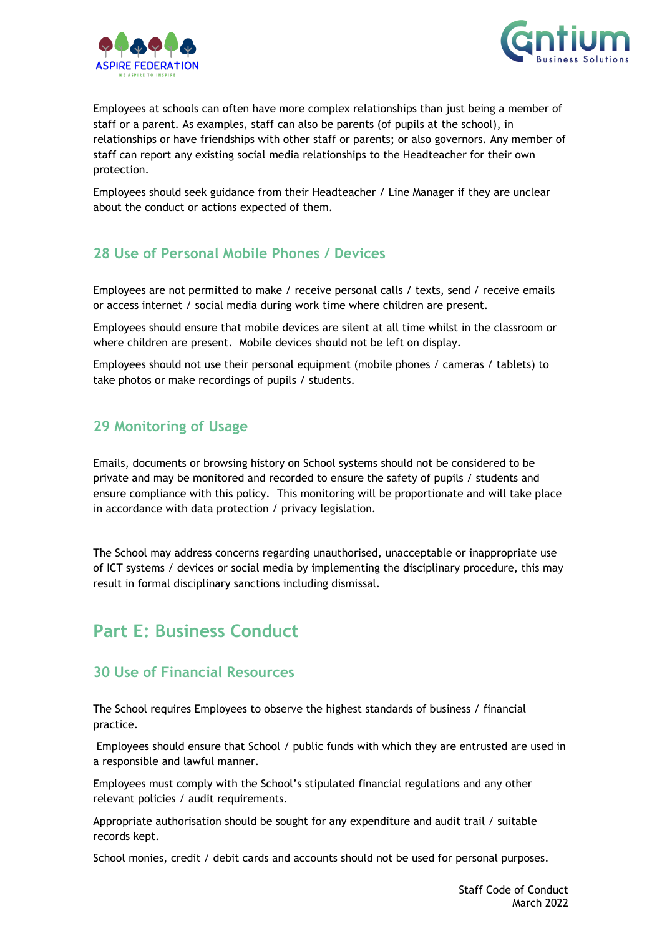



Employees at schools can often have more complex relationships than just being a member of staff or a parent. As examples, staff can also be parents (of pupils at the school), in relationships or have friendships with other staff or parents; or also governors. Any member of staff can report any existing social media relationships to the Headteacher for their own protection.

Employees should seek guidance from their Headteacher / Line Manager if they are unclear about the conduct or actions expected of them.

## <span id="page-20-0"></span>**28 Use of Personal Mobile Phones / Devices**

Employees are not permitted to make / receive personal calls / texts, send / receive emails or access internet / social media during work time where children are present.

Employees should ensure that mobile devices are silent at all time whilst in the classroom or where children are present. Mobile devices should not be left on display.

Employees should not use their personal equipment (mobile phones / cameras / tablets) to take photos or make recordings of pupils / students.

### <span id="page-20-1"></span>**29 Monitoring of Usage**

Emails, documents or browsing history on School systems should not be considered to be private and may be monitored and recorded to ensure the safety of pupils / students and ensure compliance with this policy.This monitoring will be proportionate and will take place in accordance with data protection / privacy legislation.

The School may address concerns regarding unauthorised, unacceptable or inappropriate use of ICT systems / devices or social media by implementing the disciplinary procedure, this may result in formal disciplinary sanctions including dismissal.

# <span id="page-20-2"></span>**Part E: Business Conduct**

### <span id="page-20-3"></span>**30 Use of Financial Resources**

The School requires Employees to observe the highest standards of business / financial practice.

Employees should ensure that School / public funds with which they are entrusted are used in a responsible and lawful manner.

Employees must comply with the School's stipulated financial regulations and any other relevant policies / audit requirements.

Appropriate authorisation should be sought for any expenditure and audit trail / suitable records kept.

School monies, credit / debit cards and accounts should not be used for personal purposes.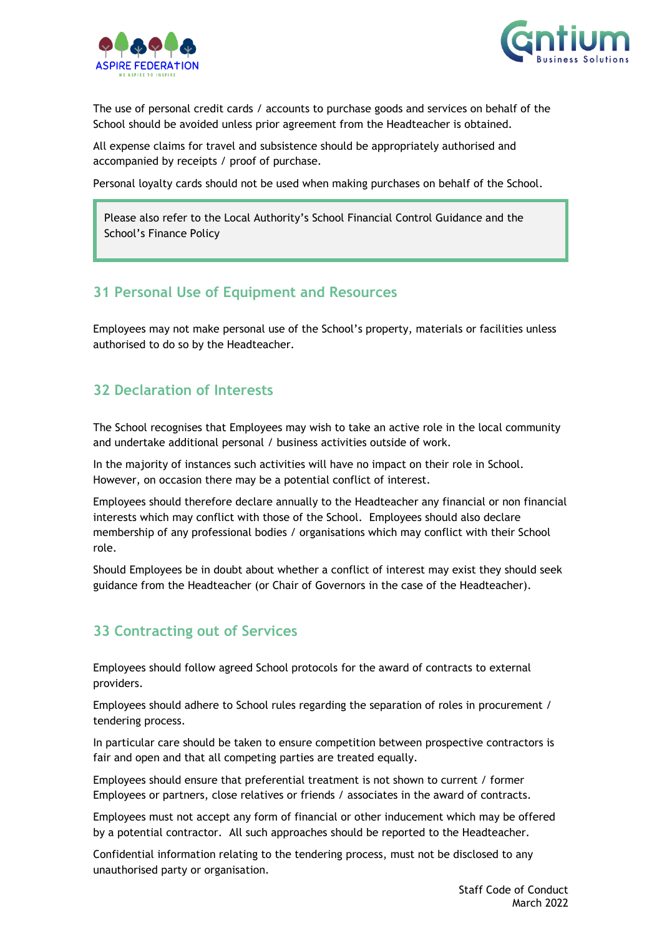



The use of personal credit cards / accounts to purchase goods and services on behalf of the School should be avoided unless prior agreement from the Headteacher is obtained.

All expense claims for travel and subsistence should be appropriately authorised and accompanied by receipts / proof of purchase.

Personal loyalty cards should not be used when making purchases on behalf of the School.

Please also refer to the Local Authority's School Financial Control Guidance and the School's Finance Policy

#### <span id="page-21-0"></span>**31 Personal Use of Equipment and Resources**

Employees may not make personal use of the School's property, materials or facilities unless authorised to do so by the Headteacher.

### <span id="page-21-1"></span>**32 Declaration of Interests**

The School recognises that Employees may wish to take an active role in the local community and undertake additional personal / business activities outside of work.

In the majority of instances such activities will have no impact on their role in School. However, on occasion there may be a potential conflict of interest.

Employees should therefore declare annually to the Headteacher any financial or non financial interests which may conflict with those of the School. Employees should also declare membership of any professional bodies / organisations which may conflict with their School role.

Should Employees be in doubt about whether a conflict of interest may exist they should seek guidance from the Headteacher (or Chair of Governors in the case of the Headteacher).

### <span id="page-21-2"></span>**33 Contracting out of Services**

Employees should follow agreed School protocols for the award of contracts to external providers.

Employees should adhere to School rules regarding the separation of roles in procurement / tendering process.

In particular care should be taken to ensure competition between prospective contractors is fair and open and that all competing parties are treated equally.

Employees should ensure that preferential treatment is not shown to current / former Employees or partners, close relatives or friends / associates in the award of contracts.

Employees must not accept any form of financial or other inducement which may be offered by a potential contractor. All such approaches should be reported to the Headteacher.

Confidential information relating to the tendering process, must not be disclosed to any unauthorised party or organisation.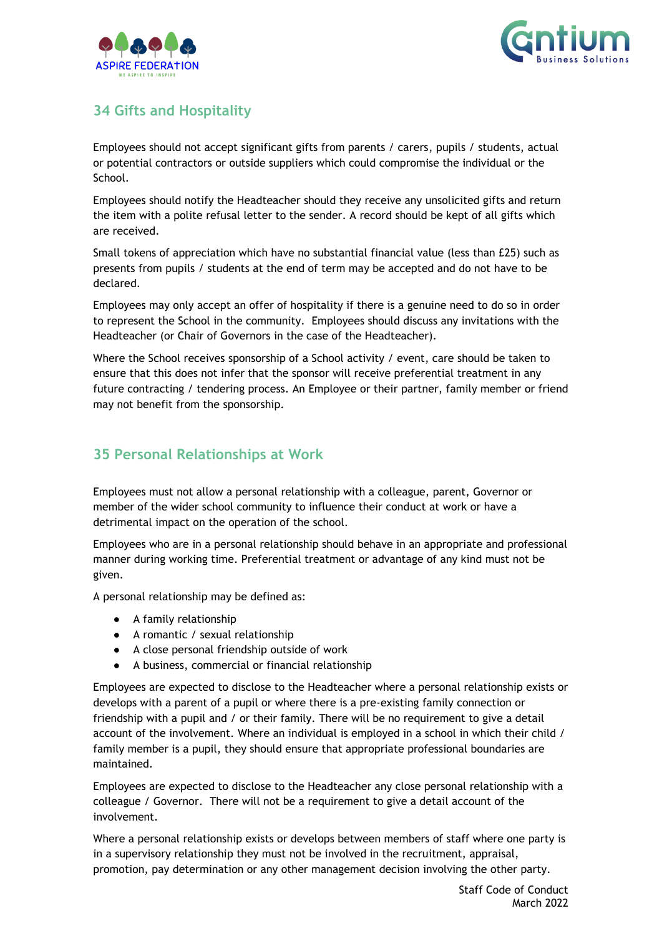



# <span id="page-22-0"></span>**34 Gifts and Hospitality**

Employees should not accept significant gifts from parents / carers, pupils / students, actual or potential contractors or outside suppliers which could compromise the individual or the School.

Employees should notify the Headteacher should they receive any unsolicited gifts and return the item with a polite refusal letter to the sender. A record should be kept of all gifts which are received.

Small tokens of appreciation which have no substantial financial value (less than £25) such as presents from pupils / students at the end of term may be accepted and do not have to be declared.

Employees may only accept an offer of hospitality if there is a genuine need to do so in order to represent the School in the community. Employees should discuss any invitations with the Headteacher (or Chair of Governors in the case of the Headteacher).

Where the School receives sponsorship of a School activity / event, care should be taken to ensure that this does not infer that the sponsor will receive preferential treatment in any future contracting / tendering process. An Employee or their partner, family member or friend may not benefit from the sponsorship.

## <span id="page-22-1"></span>**35 Personal Relationships at Work**

Employees must not allow a personal relationship with a colleague, parent, Governor or member of the wider school community to influence their conduct at work or have a detrimental impact on the operation of the school.

Employees who are in a personal relationship should behave in an appropriate and professional manner during working time. Preferential treatment or advantage of any kind must not be given.

A personal relationship may be defined as:

- A family relationship
- A romantic / sexual relationship
- A close personal friendship outside of work
- A business, commercial or financial relationship

Employees are expected to disclose to the Headteacher where a personal relationship exists or develops with a parent of a pupil or where there is a pre-existing family connection or friendship with a pupil and / or their family. There will be no requirement to give a detail account of the involvement. Where an individual is employed in a school in which their child / family member is a pupil, they should ensure that appropriate professional boundaries are maintained.

Employees are expected to disclose to the Headteacher any close personal relationship with a colleague / Governor. There will not be a requirement to give a detail account of the involvement.

Where a personal relationship exists or develops between members of staff where one party is in a supervisory relationship they must not be involved in the recruitment, appraisal, promotion, pay determination or any other management decision involving the other party.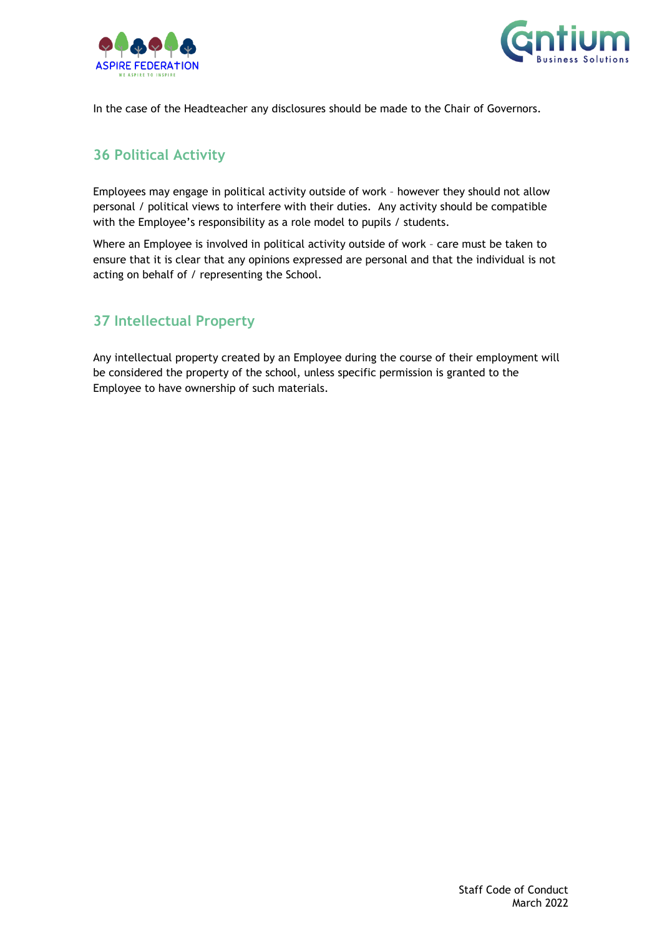



In the case of the Headteacher any disclosures should be made to the Chair of Governors.

#### <span id="page-23-0"></span>**36 Political Activity**

Employees may engage in political activity outside of work – however they should not allow personal / political views to interfere with their duties. Any activity should be compatible with the Employee's responsibility as a role model to pupils / students.

Where an Employee is involved in political activity outside of work - care must be taken to ensure that it is clear that any opinions expressed are personal and that the individual is not acting on behalf of / representing the School.

## <span id="page-23-1"></span>**37 Intellectual Property**

Any intellectual property created by an Employee during the course of their employment will be considered the property of the school, unless specific permission is granted to the Employee to have ownership of such materials.